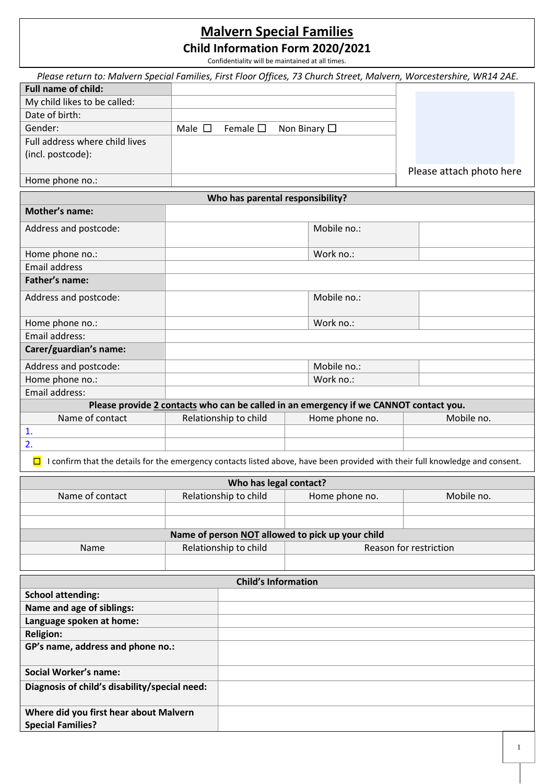# **Malvern Special Families**

**Child Information Form 2020/2021**

*Please return to: Malvern Special Families, First Floor Offices, 73 Church Street, Malvern, Worcestershire, WR14 2AE.*  Confidentiality will be maintained at all times.

| <b>Full name of child:</b>                    |                |                                       |                                                                                       |                                                                                                                               |
|-----------------------------------------------|----------------|---------------------------------------|---------------------------------------------------------------------------------------|-------------------------------------------------------------------------------------------------------------------------------|
| My child likes to be called:                  |                |                                       |                                                                                       |                                                                                                                               |
| Date of birth:                                |                |                                       |                                                                                       |                                                                                                                               |
| Gender:                                       | Male $\square$ | Female $\square$<br>Non Binary $\Box$ |                                                                                       |                                                                                                                               |
| Full address where child lives                |                |                                       |                                                                                       |                                                                                                                               |
| (incl. postcode):                             |                |                                       |                                                                                       |                                                                                                                               |
|                                               |                |                                       |                                                                                       | Please attach photo here                                                                                                      |
| Home phone no.:                               |                |                                       |                                                                                       |                                                                                                                               |
|                                               |                | Who has parental responsibility?      |                                                                                       |                                                                                                                               |
| <b>Mother's name:</b>                         |                |                                       |                                                                                       |                                                                                                                               |
|                                               |                |                                       |                                                                                       |                                                                                                                               |
| Address and postcode:                         |                |                                       | Mobile no.:                                                                           |                                                                                                                               |
| Home phone no.:                               |                |                                       | Work no.:                                                                             |                                                                                                                               |
| <b>Email address</b>                          |                |                                       |                                                                                       |                                                                                                                               |
| Father's name:                                |                |                                       |                                                                                       |                                                                                                                               |
|                                               |                |                                       |                                                                                       |                                                                                                                               |
| Address and postcode:                         |                |                                       | Mobile no.:                                                                           |                                                                                                                               |
|                                               |                |                                       |                                                                                       |                                                                                                                               |
| Home phone no.:                               |                |                                       | Work no.:                                                                             |                                                                                                                               |
| Email address:                                |                |                                       |                                                                                       |                                                                                                                               |
| Carer/guardian's name:                        |                |                                       |                                                                                       |                                                                                                                               |
| Address and postcode:                         |                |                                       | Mobile no.:                                                                           |                                                                                                                               |
| Home phone no.:                               |                |                                       | Work no.:                                                                             |                                                                                                                               |
| Email address:                                |                |                                       |                                                                                       |                                                                                                                               |
|                                               |                |                                       | Please provide 2 contacts who can be called in an emergency if we CANNOT contact you. |                                                                                                                               |
| Name of contact                               |                | Relationship to child                 | Home phone no.                                                                        | Mobile no.                                                                                                                    |
| $\mathbf{1}$ .                                |                |                                       |                                                                                       |                                                                                                                               |
| 2.                                            |                |                                       |                                                                                       |                                                                                                                               |
| $\Box$                                        |                |                                       |                                                                                       | I confirm that the details for the emergency contacts listed above, have been provided with their full knowledge and consent. |
|                                               |                |                                       |                                                                                       |                                                                                                                               |
|                                               |                | Who has legal contact?                |                                                                                       |                                                                                                                               |
| Name of contact                               |                | Relationship to child                 | Home phone no.                                                                        | Mobile no.                                                                                                                    |
|                                               |                |                                       |                                                                                       |                                                                                                                               |
|                                               |                |                                       | Name of person NOT allowed to pick up your child                                      |                                                                                                                               |
| Name                                          |                | Relationship to child                 |                                                                                       | Reason for restriction                                                                                                        |
|                                               |                |                                       |                                                                                       |                                                                                                                               |
|                                               |                |                                       |                                                                                       |                                                                                                                               |
|                                               |                | <b>Child's Information</b>            |                                                                                       |                                                                                                                               |
| <b>School attending:</b>                      |                |                                       |                                                                                       |                                                                                                                               |
| Name and age of siblings:                     |                |                                       |                                                                                       |                                                                                                                               |
| Language spoken at home:                      |                |                                       |                                                                                       |                                                                                                                               |
| <b>Religion:</b>                              |                |                                       |                                                                                       |                                                                                                                               |
| GP's name, address and phone no.:             |                |                                       |                                                                                       |                                                                                                                               |
|                                               |                |                                       |                                                                                       |                                                                                                                               |
| <b>Social Worker's name:</b>                  |                |                                       |                                                                                       |                                                                                                                               |
| Diagnosis of child's disability/special need: |                |                                       |                                                                                       |                                                                                                                               |
|                                               |                |                                       |                                                                                       |                                                                                                                               |
| Where did you first hear about Malvern        |                |                                       |                                                                                       |                                                                                                                               |
| <b>Special Families?</b>                      |                |                                       |                                                                                       |                                                                                                                               |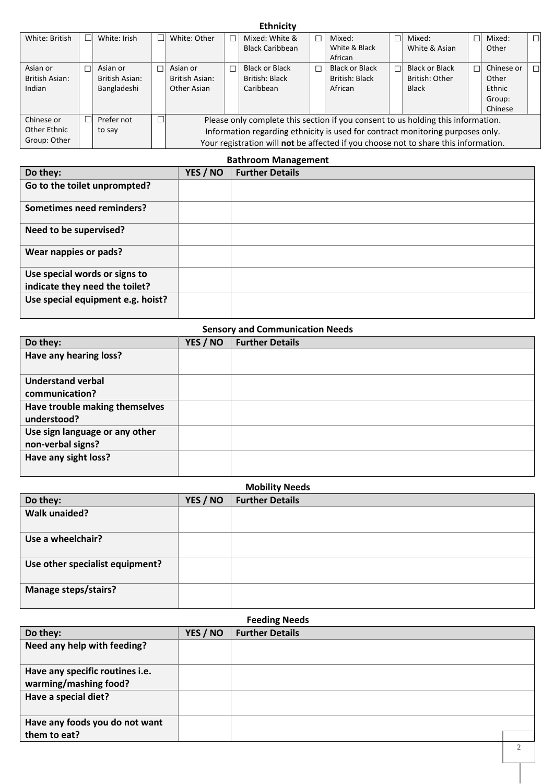| <b>Ethnicity</b> |   |                |    |                |                                                                                     |                        |  |                       |    |                       |            |        |
|------------------|---|----------------|----|----------------|-------------------------------------------------------------------------------------|------------------------|--|-----------------------|----|-----------------------|------------|--------|
| White: British   |   | White: Irish   | п  | White: Other   | $\Box$                                                                              | Mixed: White &         |  | Mixed:                | П  | Mixed:                | Mixed:     | $\Box$ |
|                  |   |                |    |                |                                                                                     | <b>Black Caribbean</b> |  | White & Black         |    | White & Asian         | Other      |        |
|                  |   |                |    |                |                                                                                     |                        |  | African               |    |                       |            |        |
| Asian or         | П | Asian or       | пI | Asian or       | П                                                                                   | <b>Black or Black</b>  |  | <b>Black or Black</b> | пI | <b>Black or Black</b> | Chinese or | П      |
| British Asian:   |   | British Asian: |    | British Asian: |                                                                                     | British: Black         |  | British: Black        |    | British: Other        | Other      |        |
| Indian           |   | Bangladeshi    |    | Other Asian    |                                                                                     | Caribbean              |  | African               |    | <b>Black</b>          | Ethnic     |        |
|                  |   |                |    |                |                                                                                     |                        |  |                       |    |                       | Group:     |        |
|                  |   |                |    |                |                                                                                     |                        |  |                       |    |                       | Chinese    |        |
| Chinese or       |   | Prefer not     |    |                | Please only complete this section if you consent to us holding this information.    |                        |  |                       |    |                       |            |        |
| Other Ethnic     |   | to say         |    |                | Information regarding ethnicity is used for contract monitoring purposes only.      |                        |  |                       |    |                       |            |        |
| Group: Other     |   |                |    |                | Your registration will not be affected if you choose not to share this information. |                        |  |                       |    |                       |            |        |

| <b>Bathroom Management</b>        |          |                        |  |  |
|-----------------------------------|----------|------------------------|--|--|
| Do they:                          | YES / NO | <b>Further Details</b> |  |  |
| Go to the toilet unprompted?      |          |                        |  |  |
| Sometimes need reminders?         |          |                        |  |  |
| Need to be supervised?            |          |                        |  |  |
| Wear nappies or pads?             |          |                        |  |  |
| Use special words or signs to     |          |                        |  |  |
| indicate they need the toilet?    |          |                        |  |  |
| Use special equipment e.g. hoist? |          |                        |  |  |

| <b>Sensory and Communication Needs</b>              |          |                        |  |  |
|-----------------------------------------------------|----------|------------------------|--|--|
| Do they:                                            | YES / NO | <b>Further Details</b> |  |  |
| Have any hearing loss?                              |          |                        |  |  |
| <b>Understand verbal</b><br>communication?          |          |                        |  |  |
| Have trouble making themselves<br>understood?       |          |                        |  |  |
| Use sign language or any other<br>non-verbal signs? |          |                        |  |  |
| Have any sight loss?                                |          |                        |  |  |

| <b>Mobility Needs</b>           |          |                        |  |  |
|---------------------------------|----------|------------------------|--|--|
| Do they:                        | YES / NO | <b>Further Details</b> |  |  |
| <b>Walk unaided?</b>            |          |                        |  |  |
| Use a wheelchair?               |          |                        |  |  |
| Use other specialist equipment? |          |                        |  |  |
| <b>Manage steps/stairs?</b>     |          |                        |  |  |

| <b>Feeding Needs</b>            |          |                        |  |  |
|---------------------------------|----------|------------------------|--|--|
| Do they:                        | YES / NO | <b>Further Details</b> |  |  |
| Need any help with feeding?     |          |                        |  |  |
| Have any specific routines i.e. |          |                        |  |  |
| warming/mashing food?           |          |                        |  |  |
| Have a special diet?            |          |                        |  |  |
| Have any foods you do not want  |          |                        |  |  |
| them to eat?                    |          |                        |  |  |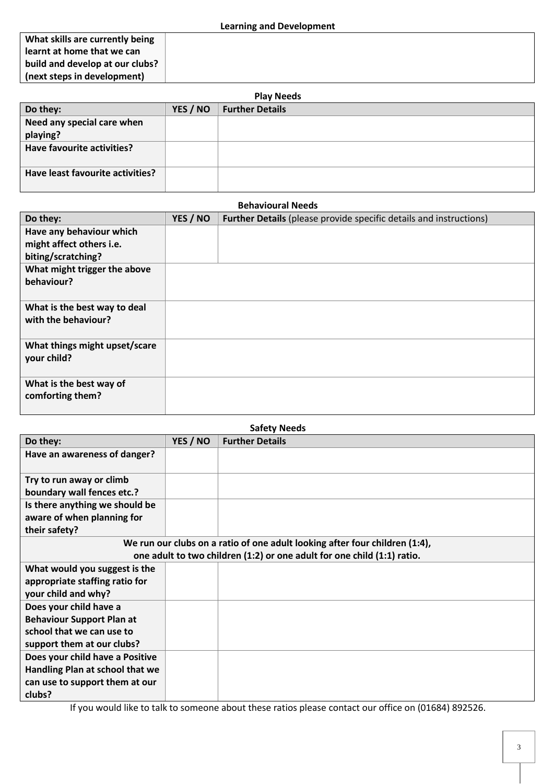**What skills are currently being learnt at home that we can build and develop at our clubs? (next steps in development)** 

| <b>Play Needs</b>                |          |                        |  |  |  |
|----------------------------------|----------|------------------------|--|--|--|
| Do they:                         | YES / NO | <b>Further Details</b> |  |  |  |
| Need any special care when       |          |                        |  |  |  |
| playing?                         |          |                        |  |  |  |
| Have favourite activities?       |          |                        |  |  |  |
|                                  |          |                        |  |  |  |
| Have least favourite activities? |          |                        |  |  |  |
|                                  |          |                        |  |  |  |

| <b>Behavioural Needs</b>                                                   |          |                                                                           |  |  |
|----------------------------------------------------------------------------|----------|---------------------------------------------------------------------------|--|--|
| Do they:                                                                   | YES / NO | <b>Further Details (please provide specific details and instructions)</b> |  |  |
| Have any behaviour which<br>might affect others i.e.<br>biting/scratching? |          |                                                                           |  |  |
| What might trigger the above<br>behaviour?                                 |          |                                                                           |  |  |
| What is the best way to deal<br>with the behaviour?                        |          |                                                                           |  |  |
| What things might upset/scare<br>your child?                               |          |                                                                           |  |  |
| What is the best way of<br>comforting them?                                |          |                                                                           |  |  |

| <b>Safety Needs</b>              |                                                                             |                                                                         |  |  |  |  |
|----------------------------------|-----------------------------------------------------------------------------|-------------------------------------------------------------------------|--|--|--|--|
| Do they:                         | YES / NO                                                                    | <b>Further Details</b>                                                  |  |  |  |  |
| Have an awareness of danger?     |                                                                             |                                                                         |  |  |  |  |
|                                  |                                                                             |                                                                         |  |  |  |  |
| Try to run away or climb         |                                                                             |                                                                         |  |  |  |  |
| boundary wall fences etc.?       |                                                                             |                                                                         |  |  |  |  |
| Is there anything we should be   |                                                                             |                                                                         |  |  |  |  |
| aware of when planning for       |                                                                             |                                                                         |  |  |  |  |
| their safety?                    |                                                                             |                                                                         |  |  |  |  |
|                                  | We run our clubs on a ratio of one adult looking after four children (1:4), |                                                                         |  |  |  |  |
|                                  |                                                                             | one adult to two children (1:2) or one adult for one child (1:1) ratio. |  |  |  |  |
| What would you suggest is the    |                                                                             |                                                                         |  |  |  |  |
| appropriate staffing ratio for   |                                                                             |                                                                         |  |  |  |  |
| your child and why?              |                                                                             |                                                                         |  |  |  |  |
| Does your child have a           |                                                                             |                                                                         |  |  |  |  |
| <b>Behaviour Support Plan at</b> |                                                                             |                                                                         |  |  |  |  |
| school that we can use to        |                                                                             |                                                                         |  |  |  |  |
| support them at our clubs?       |                                                                             |                                                                         |  |  |  |  |
| Does your child have a Positive  |                                                                             |                                                                         |  |  |  |  |
| Handling Plan at school that we  |                                                                             |                                                                         |  |  |  |  |
| can use to support them at our   |                                                                             |                                                                         |  |  |  |  |
| clubs?                           |                                                                             |                                                                         |  |  |  |  |

If you would like to talk to someone about these ratios please contact our office on (01684) 892526.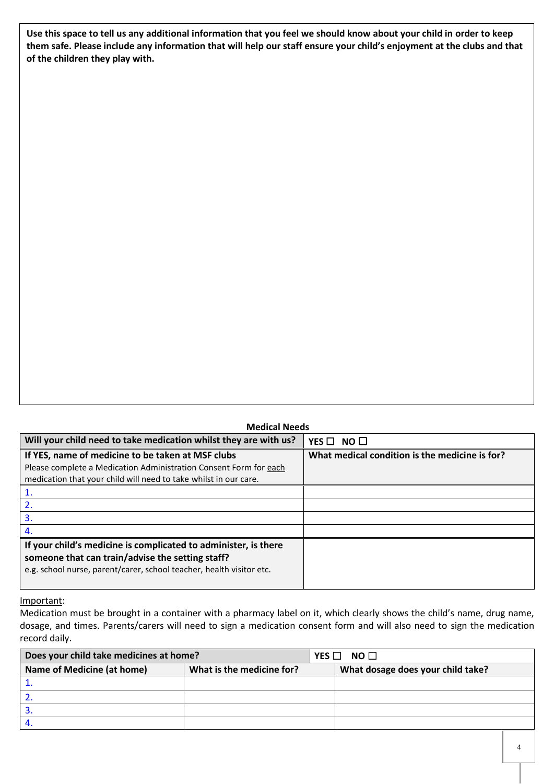**Use this space to tell us any additional information that you feel we should know about your child in order to keep them safe. Please include any information that will help our staff ensure your child's enjoyment at the clubs and that of the children they play with.**

| <b>Medical Needs</b>                                                                                                                                                                        |                                                |  |  |  |  |  |  |
|---------------------------------------------------------------------------------------------------------------------------------------------------------------------------------------------|------------------------------------------------|--|--|--|--|--|--|
| Will your child need to take medication whilst they are with us?                                                                                                                            | YES $\Box$<br>NO <sub>1</sub>                  |  |  |  |  |  |  |
| If YES, name of medicine to be taken at MSF clubs<br>Please complete a Medication Administration Consent Form for each<br>medication that your child will need to take whilst in our care.  | What medical condition is the medicine is for? |  |  |  |  |  |  |
|                                                                                                                                                                                             |                                                |  |  |  |  |  |  |
|                                                                                                                                                                                             |                                                |  |  |  |  |  |  |
| 3.                                                                                                                                                                                          |                                                |  |  |  |  |  |  |
| 4.                                                                                                                                                                                          |                                                |  |  |  |  |  |  |
| If your child's medicine is complicated to administer, is there<br>someone that can train/advise the setting staff?<br>e.g. school nurse, parent/carer, school teacher, health visitor etc. |                                                |  |  |  |  |  |  |

## Important:

Medication must be brought in a container with a pharmacy label on it, which clearly shows the child's name, drug name, dosage, and times. Parents/carers will need to sign a medication consent form and will also need to sign the medication record daily.

| Does your child take medicines at home? |                           | NO <sub>1</sub><br>YES $\Box$ |                                   |  |  |
|-----------------------------------------|---------------------------|-------------------------------|-----------------------------------|--|--|
| Name of Medicine (at home)              | What is the medicine for? |                               | What dosage does your child take? |  |  |
|                                         |                           |                               |                                   |  |  |
|                                         |                           |                               |                                   |  |  |
| J.                                      |                           |                               |                                   |  |  |
|                                         |                           |                               |                                   |  |  |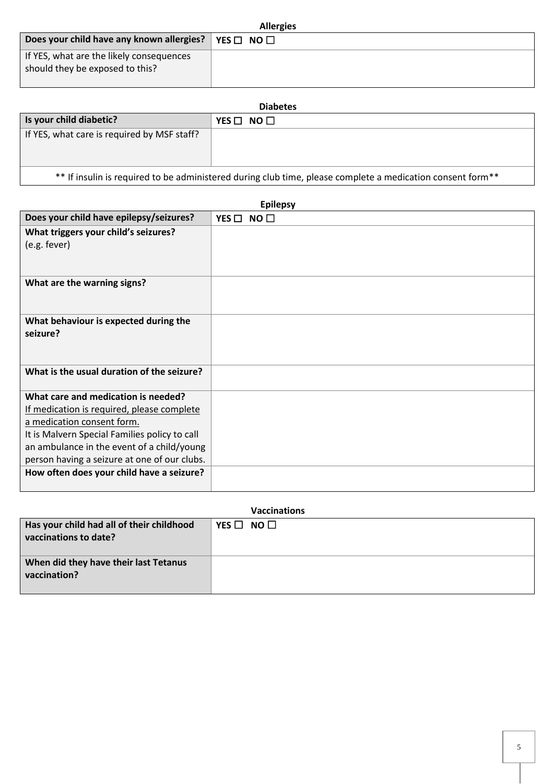| <b>Allergies</b>                                                            |                      |  |  |  |
|-----------------------------------------------------------------------------|----------------------|--|--|--|
| Does your child have any known allergies?                                   | YES $\Box$ NO $\Box$ |  |  |  |
| If YES, what are the likely consequences<br>should they be exposed to this? |                      |  |  |  |

| <b>Diabetes</b>                                                                                            |                      |
|------------------------------------------------------------------------------------------------------------|----------------------|
| Is your child diabetic?                                                                                    | YES $\Box$ NO $\Box$ |
| If YES, what care is required by MSF staff?                                                                |                      |
| ** If insulin is required to be administered during club time, please complete a medication consent form** |                      |

|                                               | <b>Epilepsy</b>      |
|-----------------------------------------------|----------------------|
| Does your child have epilepsy/seizures?       | YES $\Box$ NO $\Box$ |
| What triggers your child's seizures?          |                      |
| (e.g. fever)                                  |                      |
|                                               |                      |
|                                               |                      |
| What are the warning signs?                   |                      |
|                                               |                      |
| What behaviour is expected during the         |                      |
| seizure?                                      |                      |
|                                               |                      |
|                                               |                      |
| What is the usual duration of the seizure?    |                      |
|                                               |                      |
| What care and medication is needed?           |                      |
| If medication is required, please complete    |                      |
| a medication consent form.                    |                      |
| It is Malvern Special Families policy to call |                      |
| an ambulance in the event of a child/young    |                      |
| person having a seizure at one of our clubs.  |                      |
| How often does your child have a seizure?     |                      |
|                                               |                      |

|                                                                    | <b>Vaccinations</b>  |
|--------------------------------------------------------------------|----------------------|
| Has your child had all of their childhood<br>vaccinations to date? | YES $\Box$ NO $\Box$ |
| When did they have their last Tetanus<br>vaccination?              |                      |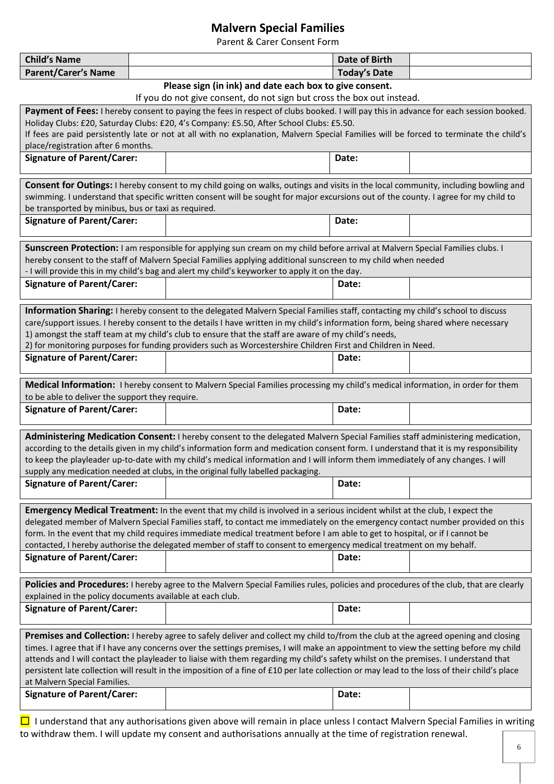## **Malvern Special Families**

Parent & Carer Consent Form

| <b>Child's Name</b>                                                                                                                                                                                                 |                                                                                                                              |                                                                                                                                                                                                                                                                                     | <b>Date of Birth</b> |  |
|---------------------------------------------------------------------------------------------------------------------------------------------------------------------------------------------------------------------|------------------------------------------------------------------------------------------------------------------------------|-------------------------------------------------------------------------------------------------------------------------------------------------------------------------------------------------------------------------------------------------------------------------------------|----------------------|--|
| <b>Parent/Carer's Name</b>                                                                                                                                                                                          |                                                                                                                              |                                                                                                                                                                                                                                                                                     | <b>Today's Date</b>  |  |
|                                                                                                                                                                                                                     |                                                                                                                              | Please sign (in ink) and date each box to give consent.                                                                                                                                                                                                                             |                      |  |
|                                                                                                                                                                                                                     |                                                                                                                              | If you do not give consent, do not sign but cross the box out instead.                                                                                                                                                                                                              |                      |  |
|                                                                                                                                                                                                                     |                                                                                                                              | Payment of Fees: I hereby consent to paying the fees in respect of clubs booked. I will pay this in advance for each session booked.                                                                                                                                                |                      |  |
|                                                                                                                                                                                                                     |                                                                                                                              | Holiday Clubs: £20, Saturday Clubs: £20, 4's Company: £5.50, After School Clubs: £5.50.                                                                                                                                                                                             |                      |  |
|                                                                                                                                                                                                                     |                                                                                                                              | If fees are paid persistently late or not at all with no explanation, Malvern Special Families will be forced to terminate the child's                                                                                                                                              |                      |  |
| place/registration after 6 months.                                                                                                                                                                                  |                                                                                                                              |                                                                                                                                                                                                                                                                                     |                      |  |
| <b>Signature of Parent/Carer:</b>                                                                                                                                                                                   |                                                                                                                              |                                                                                                                                                                                                                                                                                     | Date:                |  |
|                                                                                                                                                                                                                     |                                                                                                                              |                                                                                                                                                                                                                                                                                     |                      |  |
|                                                                                                                                                                                                                     |                                                                                                                              | Consent for Outings: I hereby consent to my child going on walks, outings and visits in the local community, including bowling and                                                                                                                                                  |                      |  |
|                                                                                                                                                                                                                     |                                                                                                                              | swimming. I understand that specific written consent will be sought for major excursions out of the county. I agree for my child to                                                                                                                                                 |                      |  |
| be transported by minibus, bus or taxi as required.<br><b>Signature of Parent/Carer:</b>                                                                                                                            |                                                                                                                              |                                                                                                                                                                                                                                                                                     |                      |  |
|                                                                                                                                                                                                                     |                                                                                                                              |                                                                                                                                                                                                                                                                                     | Date:                |  |
|                                                                                                                                                                                                                     |                                                                                                                              |                                                                                                                                                                                                                                                                                     |                      |  |
|                                                                                                                                                                                                                     |                                                                                                                              | Sunscreen Protection: I am responsible for applying sun cream on my child before arrival at Malvern Special Families clubs. I                                                                                                                                                       |                      |  |
|                                                                                                                                                                                                                     |                                                                                                                              | hereby consent to the staff of Malvern Special Families applying additional sunscreen to my child when needed<br>- I will provide this in my child's bag and alert my child's keyworker to apply it on the day.                                                                     |                      |  |
| <b>Signature of Parent/Carer:</b>                                                                                                                                                                                   |                                                                                                                              |                                                                                                                                                                                                                                                                                     | Date:                |  |
|                                                                                                                                                                                                                     |                                                                                                                              |                                                                                                                                                                                                                                                                                     |                      |  |
|                                                                                                                                                                                                                     |                                                                                                                              |                                                                                                                                                                                                                                                                                     |                      |  |
|                                                                                                                                                                                                                     |                                                                                                                              | Information Sharing: I hereby consent to the delegated Malvern Special Families staff, contacting my child's school to discuss                                                                                                                                                      |                      |  |
|                                                                                                                                                                                                                     |                                                                                                                              | care/support issues. I hereby consent to the details I have written in my child's information form, being shared where necessary                                                                                                                                                    |                      |  |
|                                                                                                                                                                                                                     |                                                                                                                              | 1) amongst the staff team at my child's club to ensure that the staff are aware of my child's needs,                                                                                                                                                                                |                      |  |
| <b>Signature of Parent/Carer:</b>                                                                                                                                                                                   |                                                                                                                              | 2) for monitoring purposes for funding providers such as Worcestershire Children First and Children in Need.                                                                                                                                                                        |                      |  |
|                                                                                                                                                                                                                     |                                                                                                                              |                                                                                                                                                                                                                                                                                     | Date:                |  |
|                                                                                                                                                                                                                     |                                                                                                                              |                                                                                                                                                                                                                                                                                     |                      |  |
|                                                                                                                                                                                                                     |                                                                                                                              | Medical Information: I hereby consent to Malvern Special Families processing my child's medical information, in order for them                                                                                                                                                      |                      |  |
| to be able to deliver the support they require.                                                                                                                                                                     |                                                                                                                              |                                                                                                                                                                                                                                                                                     |                      |  |
| <b>Signature of Parent/Carer:</b>                                                                                                                                                                                   |                                                                                                                              |                                                                                                                                                                                                                                                                                     | Date:                |  |
|                                                                                                                                                                                                                     |                                                                                                                              |                                                                                                                                                                                                                                                                                     |                      |  |
|                                                                                                                                                                                                                     |                                                                                                                              | Administering Medication Consent: I hereby consent to the delegated Malvern Special Families staff administering medication,                                                                                                                                                        |                      |  |
| according to the details given in my child's information form and medication consent form. I understand that it is my responsibility                                                                                |                                                                                                                              |                                                                                                                                                                                                                                                                                     |                      |  |
| to keep the playleader up-to-date with my child's medical information and I will inform them immediately of any changes. I will<br>supply any medication needed at clubs, in the original fully labelled packaging. |                                                                                                                              |                                                                                                                                                                                                                                                                                     |                      |  |
| <b>Signature of Parent/Carer:</b>                                                                                                                                                                                   |                                                                                                                              |                                                                                                                                                                                                                                                                                     | Date:                |  |
|                                                                                                                                                                                                                     |                                                                                                                              |                                                                                                                                                                                                                                                                                     |                      |  |
|                                                                                                                                                                                                                     |                                                                                                                              |                                                                                                                                                                                                                                                                                     |                      |  |
|                                                                                                                                                                                                                     |                                                                                                                              | Emergency Medical Treatment: In the event that my child is involved in a serious incident whilst at the club, I expect the                                                                                                                                                          |                      |  |
|                                                                                                                                                                                                                     |                                                                                                                              | delegated member of Malvern Special Families staff, to contact me immediately on the emergency contact number provided on this<br>form. In the event that my child requires immediate medical treatment before I am able to get to hospital, or if I cannot be                      |                      |  |
|                                                                                                                                                                                                                     |                                                                                                                              |                                                                                                                                                                                                                                                                                     |                      |  |
| <b>Signature of Parent/Carer:</b>                                                                                                                                                                                   | contacted, I hereby authorise the delegated member of staff to consent to emergency medical treatment on my behalf.<br>Date: |                                                                                                                                                                                                                                                                                     |                      |  |
|                                                                                                                                                                                                                     |                                                                                                                              |                                                                                                                                                                                                                                                                                     |                      |  |
|                                                                                                                                                                                                                     |                                                                                                                              | Policies and Procedures: I hereby agree to the Malvern Special Families rules, policies and procedures of the club, that are clearly                                                                                                                                                |                      |  |
| explained in the policy documents available at each club.                                                                                                                                                           |                                                                                                                              |                                                                                                                                                                                                                                                                                     |                      |  |
| <b>Signature of Parent/Carer:</b>                                                                                                                                                                                   |                                                                                                                              |                                                                                                                                                                                                                                                                                     | Date:                |  |
|                                                                                                                                                                                                                     |                                                                                                                              |                                                                                                                                                                                                                                                                                     |                      |  |
|                                                                                                                                                                                                                     |                                                                                                                              |                                                                                                                                                                                                                                                                                     |                      |  |
|                                                                                                                                                                                                                     |                                                                                                                              | Premises and Collection: I hereby agree to safely deliver and collect my child to/from the club at the agreed opening and closing                                                                                                                                                   |                      |  |
|                                                                                                                                                                                                                     |                                                                                                                              | times. I agree that if I have any concerns over the settings premises, I will make an appointment to view the setting before my child                                                                                                                                               |                      |  |
|                                                                                                                                                                                                                     |                                                                                                                              | attends and I will contact the playleader to liaise with them regarding my child's safety whilst on the premises. I understand that<br>persistent late collection will result in the imposition of a fine of £10 per late collection or may lead to the loss of their child's place |                      |  |
| at Malvern Special Families.                                                                                                                                                                                        |                                                                                                                              |                                                                                                                                                                                                                                                                                     |                      |  |
| <b>Signature of Parent/Carer:</b>                                                                                                                                                                                   |                                                                                                                              |                                                                                                                                                                                                                                                                                     | Date:                |  |
|                                                                                                                                                                                                                     |                                                                                                                              |                                                                                                                                                                                                                                                                                     |                      |  |
|                                                                                                                                                                                                                     |                                                                                                                              |                                                                                                                                                                                                                                                                                     |                      |  |

 $\Box$  I understand that any authorisations given above will remain in place unless I contact Malvern Special Families in writing to withdraw them. I will update my consent and authorisations annually at the time of registration renewal.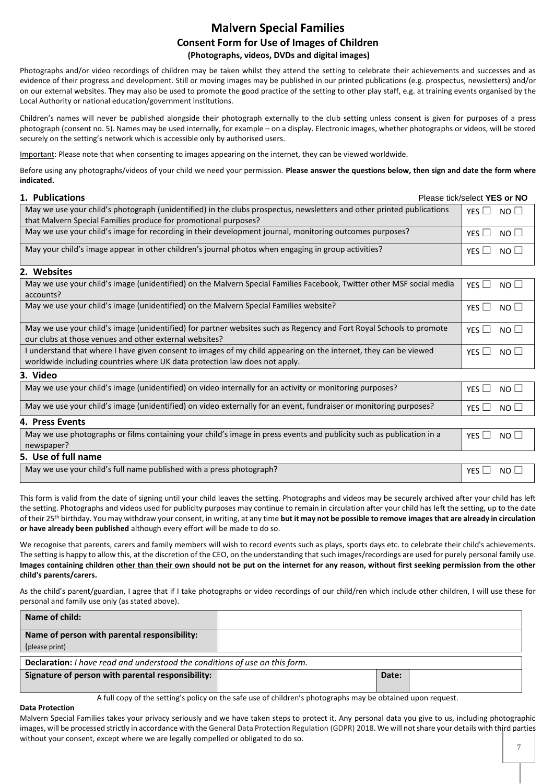## **Malvern Special Families Consent Form for Use of Images of Children (Photographs, videos, DVDs and digital images)**

Photographs and/or video recordings of children may be taken whilst they attend the setting to celebrate their achievements and successes and as evidence of their progress and development. Still or moving images may be published in our printed publications (e.g. prospectus, newsletters) and/or on our external websites. They may also be used to promote the good practice of the setting to other play staff, e.g. at training events organised by the Local Authority or national education/government institutions.

Children's names will never be published alongside their photograph externally to the club setting unless consent is given for purposes of a press photograph (consent no. 5). Names may be used internally, for example – on a display. Electronic images, whether photographs or videos, will be stored securely on the setting's network which is accessible only by authorised users.

Important: Please note that when consenting to images appearing on the internet, they can be viewed worldwide.

Before using any photographs/videos of your child we need your permission. **Please answer the questions below, then sign and date the form where indicated.**

| 1. Publications<br>Please tick/select YES or NO                                                                       |                        |
|-----------------------------------------------------------------------------------------------------------------------|------------------------|
| May we use your child's photograph (unidentified) in the clubs prospectus, newsletters and other printed publications | NO <sub>1</sub><br>YFS |
| that Malvern Special Families produce for promotional purposes?                                                       |                        |
| May we use your child's image for recording in their development journal, monitoring outcomes purposes?               | YES $\Box$ NO $\Box$   |
| May your child's image appear in other children's journal photos when engaging in group activities?                   | YES $\Box$ NO $\Box$   |

#### **2. Websites**

| May we use your child's image (unidentified) on the Malvern Special Families Facebook, Twitter other MSF social media                                                                          | YFS    <br>NO II     |
|------------------------------------------------------------------------------------------------------------------------------------------------------------------------------------------------|----------------------|
| accounts?                                                                                                                                                                                      |                      |
| May we use your child's image (unidentified) on the Malvern Special Families website?                                                                                                          | YES $\Box$ NO $\Box$ |
| May we use your child's image (unidentified) for partner websites such as Regency and Fort Royal Schools to promote<br>our clubs at those venues and other external websites?                  | $YFS \Box NO \Box$   |
| I understand that where I have given consent to images of my child appearing on the internet, they can be viewed<br>worldwide including countries where UK data protection law does not apply. | YES $\Box$ NO $\Box$ |
| 3. Video                                                                                                                                                                                       |                      |
|                                                                                                                                                                                                |                      |

| May we use your child's image (unidentified) on video internally for an activity or monitoring purposes?                           | NO <sub>1</sub><br>YES $\Box$ |
|------------------------------------------------------------------------------------------------------------------------------------|-------------------------------|
| May we use your child's image (unidentified) on video externally for an event, fundraiser or monitoring purposes?                  | $YES \Box NO \Box$            |
| 4. Press Events                                                                                                                    |                               |
| May we use photographs or films containing your child's image in press events and publicity such as publication in a<br>newspaper? | YES $\Box$ NO $\Box$          |
| 5. Use of full name                                                                                                                |                               |

May we use your child's full name published with a press photograph?  $\blacksquare$  YES  $\Box$  NO  $\Box$  NO  $\Box$ 

This form is valid from the date of signing until your child leaves the setting. Photographs and videos may be securely archived after your child has left the setting. Photographs and videos used for publicity purposes may continue to remain in circulation after your child has left the setting, up to the date of their 25th birthday. You may withdraw your consent, in writing, at any time **but it may not be possible to remove images that are already in circulation or have already been published** although every effort will be made to do so.

We recognise that parents, carers and family members will wish to record events such as plays, sports days etc. to celebrate their child's achievements. The setting is happy to allow this, at the discretion of the CEO, on the understanding that such images/recordings are used for purely personal family use. **Images containing children other than their own should not be put on the internet for any reason, without first seeking permission from the other child's parents/carers.**

As the child's parent/guardian, I agree that if I take photographs or video recordings of our child/ren which include other children, I will use these for personal and family use only (as stated above).

| Name of child:                                                                     |       |  |
|------------------------------------------------------------------------------------|-------|--|
| Name of person with parental responsibility:                                       |       |  |
| (please print)                                                                     |       |  |
| <b>Declaration:</b> I have read and understood the conditions of use on this form. |       |  |
| Signature of person with parental responsibility:                                  | Date: |  |
|                                                                                    |       |  |

A full copy of the setting's policy on the safe use of children's photographs may be obtained upon request.

#### **Data Protection**

Malvern Special Families takes your privacy seriously and we have taken steps to protect it. Any personal data you give to us, including photographic images, will be processed strictly in accordance with the General Data Protection Regulation (GDPR) 2018. We will not share your details with third parties without your consent, except where we are legally compelled or obligated to do so.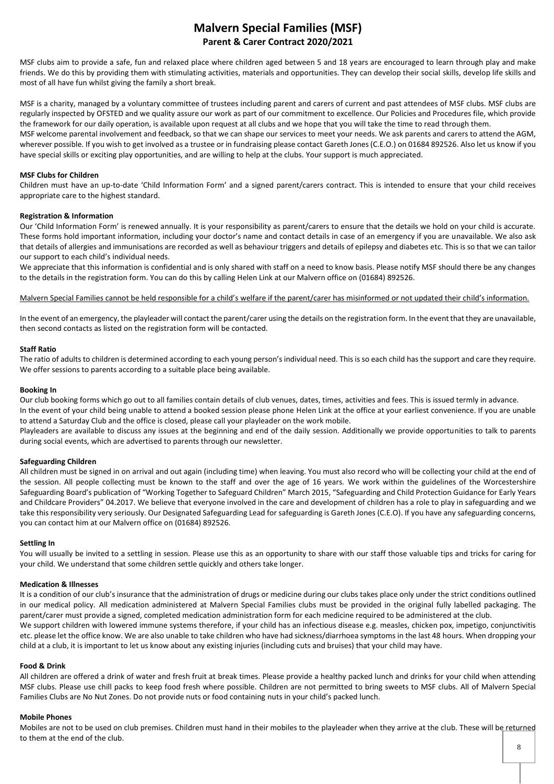## **Malvern Special Families (MSF) Parent & Carer Contract 2020/2021**

MSF clubs aim to provide a safe, fun and relaxed place where children aged between 5 and 18 years are encouraged to learn through play and make friends. We do this by providing them with stimulating activities, materials and opportunities. They can develop their social skills, develop life skills and most of all have fun whilst giving the family a short break.

MSF is a charity, managed by a voluntary committee of trustees including parent and carers of current and past attendees of MSF clubs. MSF clubs are regularly inspected by OFSTED and we quality assure our work as part of our commitment to excellence. Our Policies and Procedures file, which provide the framework for our daily operation, is available upon request at all clubs and we hope that you will take the time to read through them. MSF welcome parental involvement and feedback, so that we can shape our services to meet your needs. We ask parents and carers to attend the AGM, wherever possible. If you wish to get involved as a trustee or in fundraising please contact Gareth Jones (C.E.O.) on 01684 892526. Also let us know if you have special skills or exciting play opportunities, and are willing to help at the clubs. Your support is much appreciated.

#### **MSF Clubs for Children**

Children must have an up-to-date 'Child Information Form' and a signed parent/carers contract. This is intended to ensure that your child receives appropriate care to the highest standard.

#### **Registration & Information**

Our 'Child Information Form' is renewed annually. It is your responsibility as parent/carers to ensure that the details we hold on your child is accurate. These forms hold important information, including your doctor's name and contact details in case of an emergency if you are unavailable. We also ask that details of allergies and immunisations are recorded as well as behaviour triggers and details of epilepsy and diabetes etc. This is so that we can tailor our support to each child's individual needs.

We appreciate that this information is confidential and is only shared with staff on a need to know basis. Please notify MSF should there be any changes to the details in the registration form. You can do this by calling Helen Link at our Malvern office on (01684) 892526.

Malvern Special Families cannot be held responsible for a child's welfare if the parent/carer has misinformed or not updated their child's information.

In the event of an emergency, the playleader will contact the parent/carer using the details on the registration form. In the event that they are unavailable, then second contacts as listed on the registration form will be contacted.

#### **Staff Ratio**

The ratio of adults to children is determined according to each young person's individual need. This is so each child has the support and care they require. We offer sessions to parents according to a suitable place being available.

#### **Booking In**

Our club booking forms which go out to all families contain details of club venues, dates, times, activities and fees. This is issued termly in advance. In the event of your child being unable to attend a booked session please phone Helen Link at the office at your earliest convenience. If you are unable

to attend a Saturday Club and the office is closed, please call your playleader on the work mobile. Playleaders are available to discuss any issues at the beginning and end of the daily session. Additionally we provide opportunities to talk to parents during social events, which are advertised to parents through our newsletter.

#### **Safeguarding Children**

All children must be signed in on arrival and out again (including time) when leaving. You must also record who will be collecting your child at the end of the session. All people collecting must be known to the staff and over the age of 16 years. We work within the guidelines of the Worcestershire Safeguarding Board's publication of "Working Together to Safeguard Children" March 2015, "Safeguarding and Child Protection Guidance for Early Years and Childcare Providers" 04.2017. We believe that everyone involved in the care and development of children has a role to play in safeguarding and we take this responsibility very seriously. Our Designated Safeguarding Lead for safeguarding is Gareth Jones (C.E.O). If you have any safeguarding concerns, you can contact him at our Malvern office on (01684) 892526.

#### **Settling In**

You will usually be invited to a settling in session. Please use this as an opportunity to share with our staff those valuable tips and tricks for caring for your child. We understand that some children settle quickly and others take longer.

#### **Medication & Illnesses**

It is a condition of our club's insurance that the administration of drugs or medicine during our clubs takes place only under the strict conditions outlined in our medical policy. All medication administered at Malvern Special Families clubs must be provided in the original fully labelled packaging. The parent/carer must provide a signed, completed medication administration form for each medicine required to be administered at the club. We support children with lowered immune systems therefore, if your child has an infectious disease e.g. measles, chicken pox, impetigo, conjunctivitis

etc. please let the office know. We are also unable to take children who have had sickness/diarrhoea symptoms in the last 48 hours. When dropping your child at a club, it is important to let us know about any existing injuries (including cuts and bruises) that your child may have.

#### **Food & Drink**

All children are offered a drink of water and fresh fruit at break times. Please provide a healthy packed lunch and drinks for your child when attending MSF clubs. Please use chill packs to keep food fresh where possible. Children are not permitted to bring sweets to MSF clubs. All of Malvern Special Families Clubs are No Nut Zones. Do not provide nuts or food containing nuts in your child's packed lunch.

#### **Mobile Phones**

Mobiles are not to be used on club premises. Children must hand in their mobiles to the playleader when they arrive at the club. These will be returned to them at the end of the club.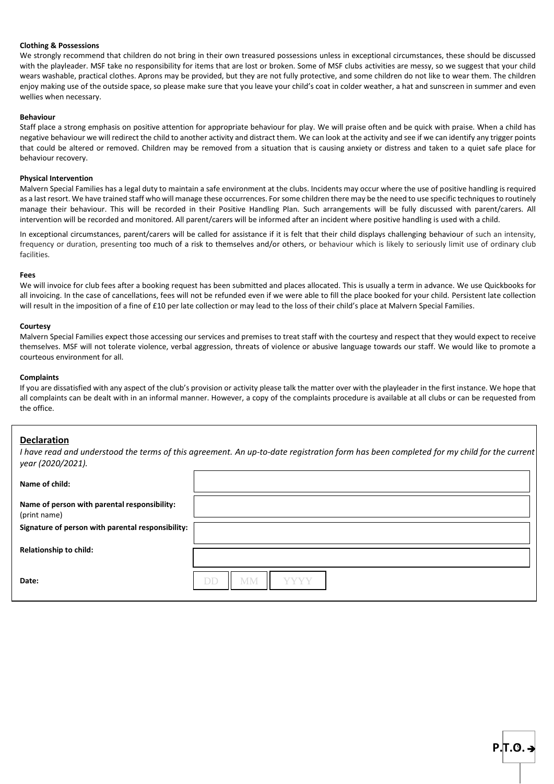#### **Clothing & Possessions**

We strongly recommend that children do not bring in their own treasured possessions unless in exceptional circumstances, these should be discussed with the playleader. MSF take no responsibility for items that are lost or broken. Some of MSF clubs activities are messy, so we suggest that your child wears washable, practical clothes. Aprons may be provided, but they are not fully protective, and some children do not like to wear them. The children enjoy making use of the outside space, so please make sure that you leave your child's coat in colder weather, a hat and sunscreen in summer and even wellies when necessary.

#### **Behaviour**

Staff place a strong emphasis on positive attention for appropriate behaviour for play. We will praise often and be quick with praise. When a child has negative behaviour we will redirect the child to another activity and distract them. We can look at the activity and see if we can identify any trigger points that could be altered or removed. Children may be removed from a situation that is causing anxiety or distress and taken to a quiet safe place for behaviour recovery.

#### **Physical Intervention**

Malvern Special Families has a legal duty to maintain a safe environment at the clubs. Incidents may occur where the use of positive handling is required as a last resort. We have trained staff who will manage these occurrences. For some children there may be the need to use specific techniques to routinely manage their behaviour. This will be recorded in their Positive Handling Plan. Such arrangements will be fully discussed with parent/carers. All intervention will be recorded and monitored. All parent/carers will be informed after an incident where positive handling is used with a child.

In exceptional circumstances, parent/carers will be called for assistance if it is felt that their child displays challenging behaviour of such an intensity, frequency or duration, presenting too much of a risk to themselves and/or others, or behaviour which is likely to seriously limit use of ordinary club facilities.

#### **Fees**

We will invoice for club fees after a booking request has been submitted and places allocated. This is usually a term in advance. We use Quickbooks for all invoicing. In the case of cancellations, fees will not be refunded even if we were able to fill the place booked for your child. Persistent late collection will result in the imposition of a fine of £10 per late collection or may lead to the loss of their child's place at Malvern Special Families.

#### **Courtesy**

Malvern Special Families expect those accessing our services and premises to treat staff with the courtesy and respect that they would expect to receive themselves. MSF will not tolerate violence, verbal aggression, threats of violence or abusive language towards our staff. We would like to promote a courteous environment for all.

#### **Complaints**

If you are dissatisfied with any aspect of the club's provision or activity please talk the matter over with the playleader in the first instance. We hope that all complaints can be dealt with in an informal manner. However, a copy of the complaints procedure is available at all clubs or can be requested from the office.

### **Declaration**

*I have read and understood the terms of this agreement. An up-to-date registration form has been completed for my child for the current year (2020/2021).*

| Name of child:                                               |                         |
|--------------------------------------------------------------|-------------------------|
| Name of person with parental responsibility:<br>(print name) |                         |
| Signature of person with parental responsibility:            |                         |
| Relationship to child:                                       |                         |
| Date:                                                        | <b>DD</b><br>MМ<br>YYYY |